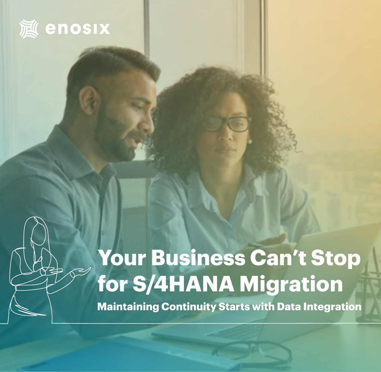

# **Your Business Can't Stop for S/4HANA Migration**

**Maintaining Continuity Starts with Data Integration**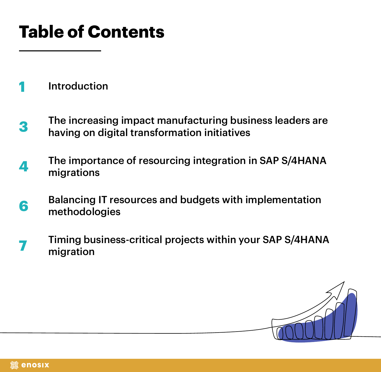## **Table of Contents**

[Introduction](#page-2-0) **1**

- The increasing impact manufacturing business leaders are having on digital transformation initiatives **3**
- The importance of resourcing integration in SAP S/4HANA migrations **4**
- Balancing IT resources and budgets with implementation methodologies **6**
- Timing business-critical projects within your SAP S/4HANA migration **7**

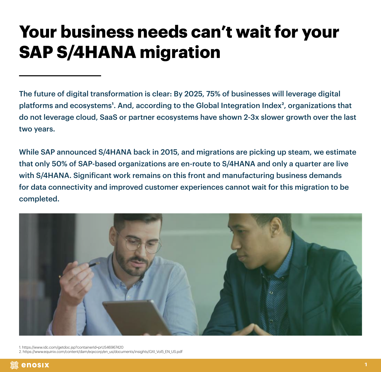### <span id="page-2-0"></span>**Your business needs can't wait for your SAP S/4HANA migration**

The future of digital transformation is clear: By 2025, 75% of businesses will leverage digital platforms and ecosystems<sup>1</sup>. And, according to the Global Integration Index<sup>2</sup>, organizations that do not leverage cloud, SaaS or partner ecosystems have shown 2-3x slower growth over the last two years.

While SAP announced S/4HANA back in 2015, and migrations are picking up steam, we estimate that only 50% of SAP-based organizations are en-route to S/4HANA and only a quarter are live with S/4HANA. Significant work remains on this front and manufacturing business demands for data connectivity and improved customer experiences cannot wait for this migration to be completed.



1. https://www.idc.com/getdoc.jsp?containerId=prUS46967420

2. https://www.equinix.com/content/dam/eqxcorp/en\_us/documents/insights/GXI\_Vol5\_EN\_US.pdf

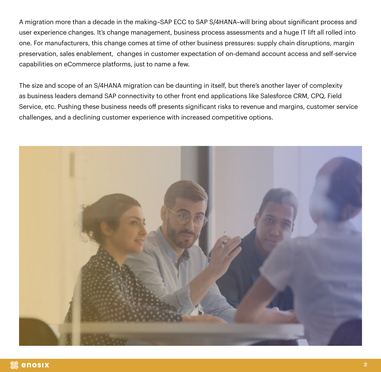A migration more than a decade in the making–SAP ECC to SAP S/4HANA–will bring about significant process and user experience changes. It's change management, business process assessments and a huge IT lift all rolled into one. For manufacturers, this change comes at time of other business pressures: supply chain disruptions, margin preservation, sales enablement, changes in customer expectation of on-demand account access and self-service capabilities on eCommerce platforms, just to name a few.

The size and scope of an S/4HANA migration can be daunting in itself, but there's another layer of complexity as business leaders demand SAP connectivity to other front end applications like Salesforce CRM, CPQ, Field Service, etc. Pushing these business needs off presents significant risks to revenue and margins, customer service challenges, and a declining customer experience with increased competitive options.

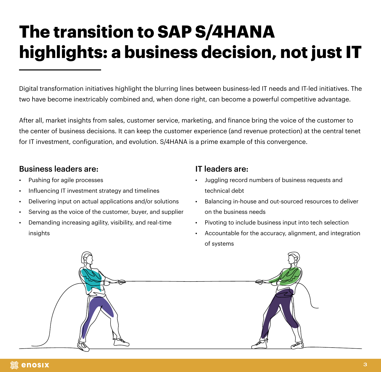## **The transition to SAP S/4HANA highlights: a business decision, not just IT**

Digital transformation initiatives highlight the blurring lines between business-led IT needs and IT-led initiatives. The two have become inextricably combined and, when done right, can become a powerful competitive advantage.

After all, market insights from sales, customer service, marketing, and finance bring the voice of the customer to the center of business decisions. It can keep the customer experience (and revenue protection) at the central tenet for IT investment, configuration, and evolution. S/4HANA is a prime example of this convergence.

#### Business leaders are:

- Pushing for agile processes
- Influencing IT investment strategy and timelines
- Delivering input on actual applications and/or solutions
- Serving as the voice of the customer, buyer, and supplier
- Demanding increasing agility, visibility, and real-time insights

#### IT leaders are:

- Juggling record numbers of business requests and technical debt
- Balancing in-house and out-sourced resources to deliver on the business needs
- Pivoting to include business input into tech selection
- Accountable for the accuracy, alignment, and integration of systems

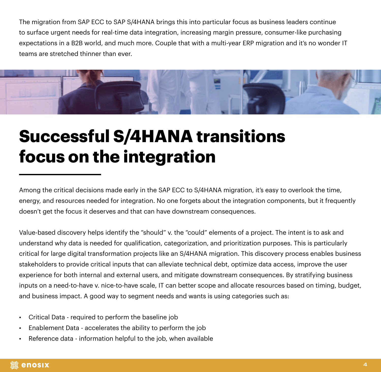The migration from SAP ECC to SAP S/4HANA brings this into particular focus as business leaders continue to surface urgent needs for real-time data integration, increasing margin pressure, consumer-like purchasing expectations in a B2B world, and much more. Couple that with a multi-year ERP migration and it's no wonder IT teams are stretched thinner than ever.



#### **Successful S/4HANA transitions focus on the integration**

Among the critical decisions made early in the SAP ECC to S/4HANA migration, it's easy to overlook the time, energy, and resources needed for integration. No one forgets about the integration components, but it frequently doesn't get the focus it deserves and that can have downstream consequences.

Value-based discovery helps identify the "should" v. the "could" elements of a project. The intent is to ask and understand why data is needed for qualification, categorization, and prioritization purposes. This is particularly critical for large digital transformation projects like an S/4HANA migration. This discovery process enables business stakeholders to provide critical inputs that can alleviate technical debt, optimize data access, improve the user experience for both internal and external users, and mitigate downstream consequences. By stratifying business inputs on a need-to-have v. nice-to-have scale, IT can better scope and allocate resources based on timing, budget, and business impact. A good way to segment needs and wants is using categories such as:

- Critical Data required to perform the baseline job
- Enablement Data accelerates the ability to perform the job
- Reference data information helpful to the job, when available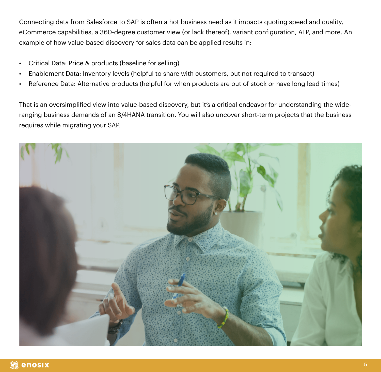Connecting data from Salesforce to SAP is often a hot business need as it impacts quoting speed and quality, eCommerce capabilities, a 360-degree customer view (or lack thereof), variant configuration, ATP, and more. An example of how value-based discovery for sales data can be applied results in:

- Critical Data: Price & products (baseline for selling)
- Enablement Data: Inventory levels (helpful to share with customers, but not required to transact)
- Reference Data: Alternative products (helpful for when products are out of stock or have long lead times)

That is an oversimplified view into value-based discovery, but it's a critical endeavor for understanding the wideranging business demands of an S/4HANA transition. You will also uncover short-term projects that the business requires while migrating your SAP.

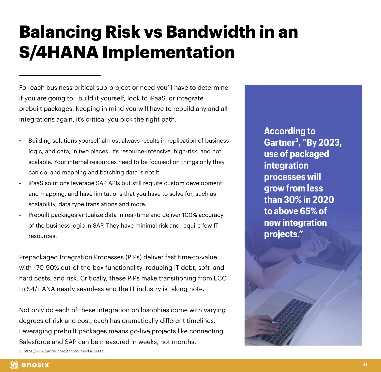#### **Balancing Risk vs Bandwidth in an S/4HANA Implementation**

For each business-critical sub-project or need you'll have to determine if you are going to: build it yourself, look to iPaaS, or integrate prebuilt packages. Keeping in mind you will have to rebuild any and all integrations again, it's critical you pick the right path.

- Building solutions yourself almost always results in replication of business logic, and data, in two places. It's resource-intensive, high-risk, and not scalable. Your internal resources need to be focused on things only they can do–and mapping and batching data is not it.
- iPaaS solutions leverage SAP APIs but still require custom development and mapping, and have limitations that you have to solve for, such as scalability, data type translations and more.
- Prebuilt packages virtualize data in real-time and deliver 100% accuracy of the business logic in SAP. They have minimal risk and require few IT resources.

Prepackaged Integration Processes (PIPs) deliver fast time-to-value with ~70-90% out-of-the-box functionality–reducing IT debt, soft and hard costs, and risk. Critically, these PIPs make transitioning from ECC to S4/HANA nearly seamless and the IT industry is taking note.

Not only do each of these integration philosophies come with varying degrees of risk and cost, each has dramatically different timelines. Leveraging prebuilt packages means go-live projects like connecting Salesforce and SAP can be measured in weeks, not months.

3. https://www.gartner.com/en/documents/3993201

**According to Gartner3, "By 2023, use of packaged integration processes will grow from less than 30% in 2020 to above 65% of new integration projects."**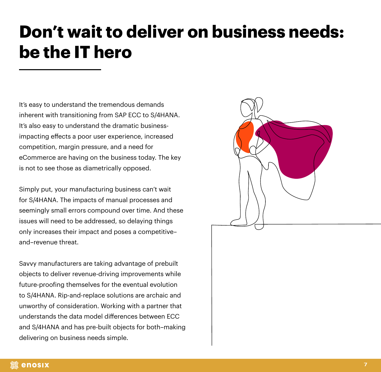#### **Don't wait to deliver on business needs: be the IT hero**

It's easy to understand the tremendous demands inherent with transitioning from SAP ECC to S/4HANA. It's also easy to understand the dramatic businessimpacting effects a poor user experience, increased competition, margin pressure, and a need for eCommerce are having on the business today. The key is not to see those as diametrically opposed.

Simply put, your manufacturing business can't wait for S/4HANA. The impacts of manual processes and seemingly small errors compound over time. And these issues will need to be addressed, so delaying things only increases their impact and poses a competitive– and–revenue threat.

Savvy manufacturers are taking advantage of prebuilt objects to deliver revenue-driving improvements while future-proofing themselves for the eventual evolution to S/4HANA. Rip-and-replace solutions are archaic and unworthy of consideration. Working with a partner that understands the data model differences between ECC and S/4HANA and has pre-built objects for both–making delivering on business needs simple.

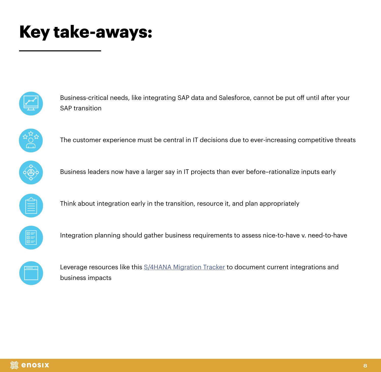#### **Key take-aways:**



Business-critical needs, like integrating SAP data and Salesforce, cannot be put off until after your SAP transition



The customer experience must be central in IT decisions due to ever-increasing competitive threats



Business leaders now have a larger say in IT projects than ever before–rationalize inputs early



Think about integration early in the transition, resource it, and plan appropriately



Integration planning should gather business requirements to assess nice-to-have v. need-to-have



Leverage resources like this [S/4HANA Migration Tracker](https://enosix.com/s-4-hana-migration-tracker) to document current integrations and business impacts